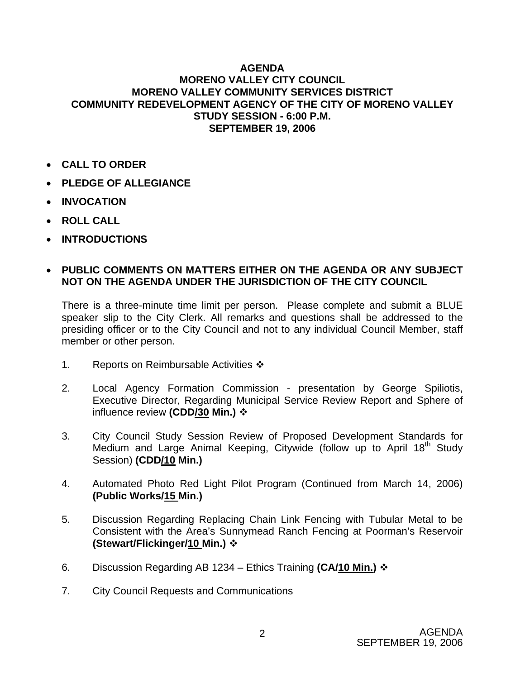## **AGENDA MORENO VALLEY CITY COUNCIL MORENO VALLEY COMMUNITY SERVICES DISTRICT COMMUNITY REDEVELOPMENT AGENCY OF THE CITY OF MORENO VALLEY STUDY SESSION - 6:00 P.M. SEPTEMBER 19, 2006**

- **CALL TO ORDER**
- **PLEDGE OF ALLEGIANCE**
- **INVOCATION**
- **ROLL CALL**
- **INTRODUCTIONS**

## • **PUBLIC COMMENTS ON MATTERS EITHER ON THE AGENDA OR ANY SUBJECT NOT ON THE AGENDA UNDER THE JURISDICTION OF THE CITY COUNCIL**

There is a three-minute time limit per person. Please complete and submit a BLUE speaker slip to the City Clerk. All remarks and questions shall be addressed to the presiding officer or to the City Council and not to any individual Council Member, staff member or other person.

- 1. Reports on Reimbursable Activities  $\cdot\cdot$
- 2. Local Agency Formation Commission presentation by George Spiliotis, Executive Director, Regarding Municipal Service Review Report and Sphere of influence review **(CDD/30 Min.)**
- 3. City Council Study Session Review of Proposed Development Standards for Medium and Large Animal Keeping, Citywide (follow up to April 18<sup>th</sup> Study Session) **(CDD/10 Min.)**
- 4. Automated Photo Red Light Pilot Program (Continued from March 14, 2006) **(Public Works/15 Min.)**
- 5. Discussion Regarding Replacing Chain Link Fencing with Tubular Metal to be Consistent with the Area's Sunnymead Ranch Fencing at Poorman's Reservoir **(Stewart/Flickinger/10 Min.)**
- 6. Discussion Regarding AB 1234 Ethics Training **(CA/10 Min.)**
- 7. City Council Requests and Communications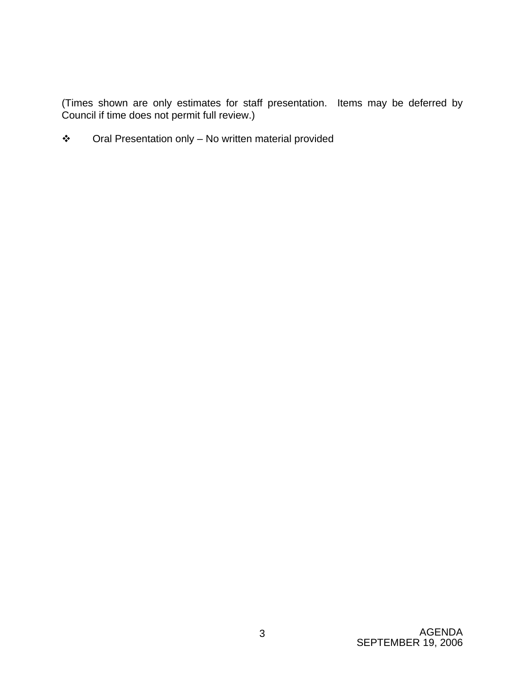(Times shown are only estimates for staff presentation. Items may be deferred by Council if time does not permit full review.)

Oral Presentation only – No written material provided